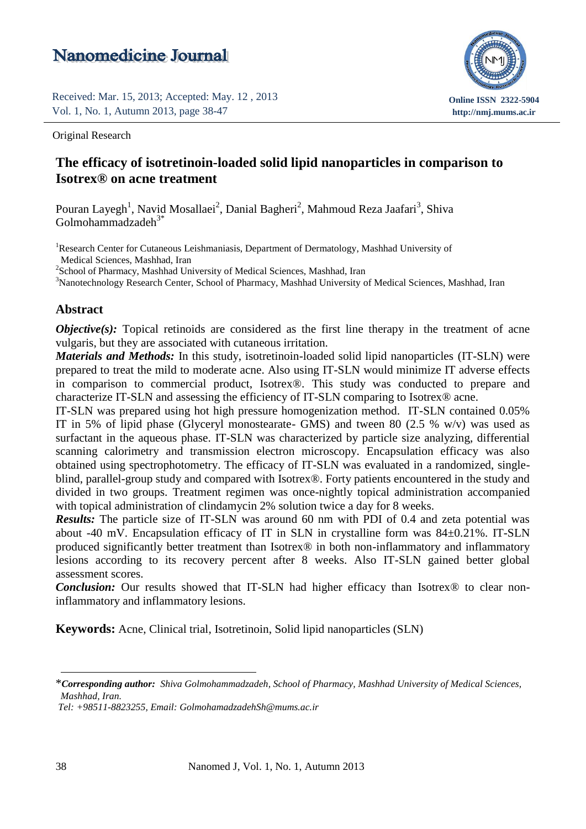Received: Mar. 15, 2013; Accepted: May. 12 , 2013 Vol. 1, No. 1, Autumn 2013, page 38-47



Original Research

# Isotrex<sup>®</sup> on acne treatment **The efficacy of isotretinoin-loaded solid lipid nanoparticles in comparison to**

 $\sqrt{2}$ Pouran Layegh<sup>1</sup>, Navid Mosallaei<sup>2</sup>, Danial Bagheri<sup>2</sup>, Mahmoud Reza Jaafari<sup>3</sup>, Shiva  $G$ olmohammadzade $h^{3*}$ 

<sup>1</sup>Research Center for Cutaneous Leishmaniasis, Department of Dermatology, Mashhad University of Medical Sciences, Mashhad, Iran

<sup>2</sup>School of Pharmacy, Mashhad University of Medical Sciences, Mashhad, Iran

<sup>3</sup>Nanotechnology Research Center, School of Pharmacy, Mashhad University of Medical Sciences, Mashhad, Iran

#### **Abstract**

*Objective(s)*: Topical retinoids are considered as the first line therapy in the treatment of acne vulgaris, but they are associated with cutaneous irritation.

*Materials and Methods:* In this study, isotretinoin-loaded solid lipid nanoparticles (IT-SLN) were prepared to treat the mild to moderate acne. Also using IT-SLN would minimize IT adverse effects in comparison to commercial product, Isotrex®. This study was conducted to prepare and characterize IT-SLN and assessing the efficiency of IT-SLN comparing to Isotrex® acne.

IT-SLN was prepared using hot high pressure homogenization method. IT-SLN contained 0.05% IT in 5% of lipid phase (Glyceryl monostearate- GMS) and tween 80 (2.5 % w/v) was used as surfactant in the aqueous phase. IT-SLN was characterized by particle size analyzing, differential scanning calorimetry and transmission electron microscopy. Encapsulation efficacy was also obtained using spectrophotometry. The efficacy of IT-SLN was evaluated in a randomized, singleblind, parallel-group study and compared with Isotrex®. Forty patients encountered in the study and divided in two groups. Treatment regimen was once-nightly topical administration accompanied with topical administration of clindamycin 2% solution twice a day for 8 weeks.

*Results:* The particle size of IT-SLN was around 60 nm with PDI of 0.4 and zeta potential was about -40 mV. Encapsulation efficacy of IT in SLN in crystalline form was 84±0.21%. IT-SLN produced significantly better treatment than Isotrex® in both non-inflammatory and inflammatory lesions according to its recovery percent after 8 weeks. Also IT-SLN gained better global assessment scores.

*Conclusion:* Our results showed that IT-SLN had higher efficacy than Isotrex<sup>®</sup> to clear noninflammatory and inflammatory lesions.

**Keywords:** Acne, Clinical trial, Isotretinoin, Solid lipid nanoparticles (SLN)

<sup>\*</sup>*Corresponding author: Shiva Golmohammadzadeh, School of Pharmacy, Mashhad University of Medical Sciences, Mashhad, Iran.*

*Tel: +98511-8823255, Email[: GolmohamadzadehSh@mums.ac.ir](mailto:GolmohamadzadehSh@mums.ac.ir)*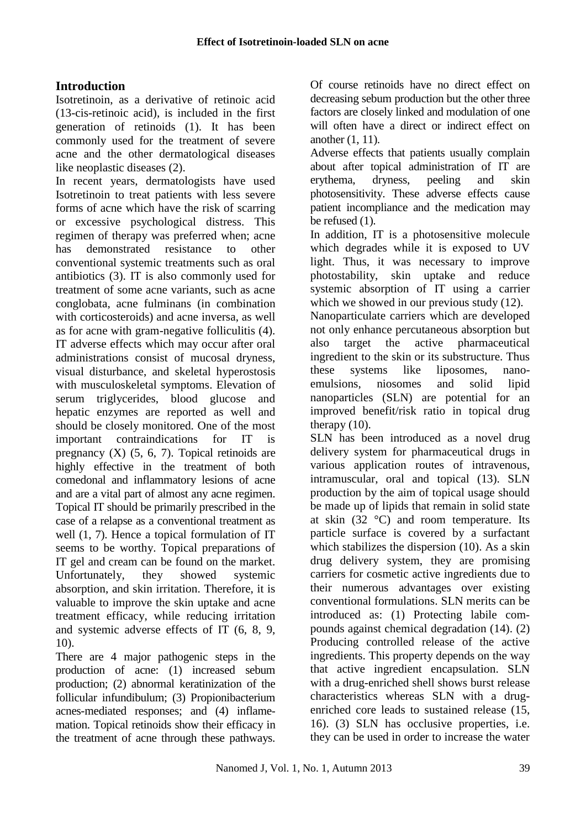# **Introduction**

Isotretinoin, as a derivative of retinoic acid (13-cis-retinoic acid), is included in the first generation of retinoids (1). It has been commonly used for the treatment of severe acne and the other dermatological diseases like neoplastic diseases (2).

In recent years, dermatologists have used Isotretinoin to treat patients with less severe forms of acne which have the risk of scarring or excessive psychological distress. This regimen of therapy was preferred when; acne has demonstrated resistance to other conventional systemic treatments such as oral antibiotics (3). IT is also commonly used for treatment of some acne variants, such as acne conglobata, acne fulminans (in combination with corticosteroids) and acne inversa, as well as for acne with gram-negative folliculitis (4). IT adverse effects which may occur after oral administrations consist of mucosal dryness, visual disturbance, and skeletal hyperostosis with musculoskeletal symptoms. Elevation of serum triglycerides, blood glucose and hepatic enzymes are reported as well and should be closely monitored. One of the most important contraindications for IT is pregnancy  $(X)$   $(5, 6, 7)$ . Topical retinoids are highly effective in the treatment of both comedonal and inflammatory lesions of acne and are a vital part of almost any acne regimen. Topical IT should be primarily prescribed in the case of a relapse as a conventional treatment as well (1, 7). Hence a topical formulation of IT seems to be worthy. Topical preparations of IT gel and cream can be found on the market. Unfortunately, they showed systemic absorption, and skin irritation. Therefore, it is valuable to improve the skin uptake and acne treatment efficacy, while reducing irritation and systemic adverse effects of IT (6, 8, 9, 10).

There are 4 major pathogenic steps in the production of acne: (1) increased sebum production; (2) abnormal keratinization of the follicular infundibulum; (3) Propionibacterium acnes-mediated responses; and (4) inflamemation. Topical retinoids show their efficacy in the treatment of acne through these pathways.

Of course retinoids have no direct effect on decreasing sebum production but the other three factors are closely linked and modulation of one will often have a direct or indirect effect on another (1, 11).

Adverse effects that patients usually complain about after topical administration of IT are erythema, dryness, peeling and skin photosensitivity. These adverse effects cause patient incompliance and the medication may be refused (1).

In addition, IT is a photosensitive molecule which degrades while it is exposed to UV light. Thus, it was necessary to improve photostability, skin uptake and reduce systemic absorption of IT using a carrier which we showed in our previous study  $(12)$ .

Nanoparticulate carriers which are developed not only enhance percutaneous absorption but also target the active pharmaceutical ingredient to the skin or its substructure. Thus these systems like liposomes, nanoemulsions, niosomes and solid lipid nanoparticles (SLN) are potential for an improved benefit/risk ratio in topical drug therapy (10).

SLN has been introduced as a novel drug delivery system for pharmaceutical drugs in various application routes of intravenous, intramuscular, oral and topical (13). SLN production by the aim of topical usage should be made up of lipids that remain in solid state at skin  $(32 \degree C)$  and room temperature. Its particle surface is covered by a surfactant which stabilizes the dispersion (10). As a skin drug delivery system, they are promising carriers for cosmetic active ingredients due to their numerous advantages over existing conventional formulations. SLN merits can be introduced as: (1) Protecting labile compounds against chemical degradation (14). (2) Producing controlled release of the active ingredients. This property depends on the way that active ingredient encapsulation. SLN with a drug-enriched shell shows burst release characteristics whereas SLN with a drugenriched core leads to sustained release (15, 16). (3) SLN has occlusive properties, i.e. they can be used in order to increase the water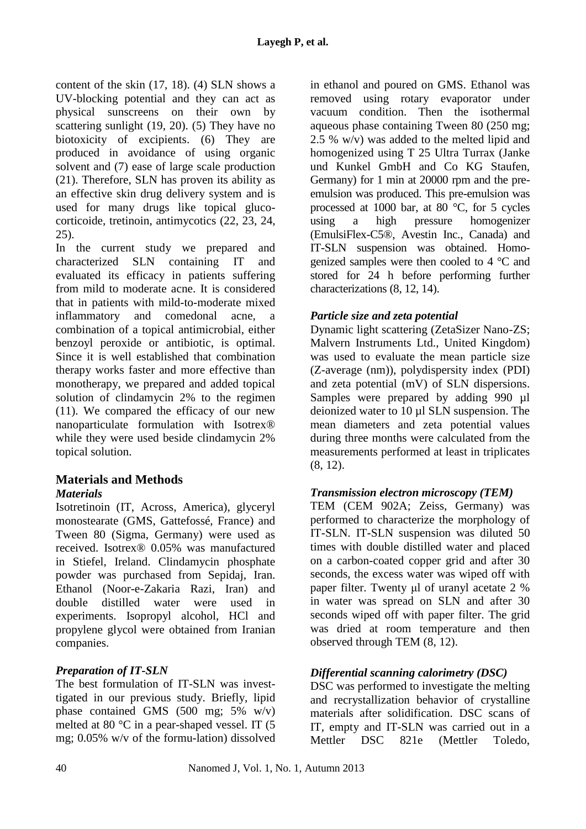content of the skin (17, 18). (4) SLN shows a UV-blocking potential and they can act as physical sunscreens on their own by scattering sunlight (19, 20). (5) They have no biotoxicity of excipients. (6) They are produced in avoidance of using organic solvent and (7) ease of large scale production (21). Therefore, SLN has proven its ability as an effective skin drug delivery system and is used for many drugs like topical glucocorticoide, tretinoin, antimycotics (22, 23, 24, 25).

In the current study we prepared and characterized SLN containing IT and evaluated its efficacy in patients suffering from mild to moderate acne. It is considered that in patients with mild-to-moderate mixed inflammatory and comedonal acne, a combination of a topical antimicrobial, either benzoyl peroxide or antibiotic, is optimal. Since it is well established that combination therapy works faster and more effective than monotherapy, we prepared and added topical solution of clindamycin 2% to the regimen (11). We compared the efficacy of our new nanoparticulate formulation with Isotrex® while they were used beside clindamycin 2% topical solution.

#### **Materials and Methods** *Materials*

Isotretinoin (IT, Across, America), glyceryl monostearate (GMS, Gattefossé, France) and Tween 80 (Sigma, Germany) were used as received. Isotrex® 0.05% was manufactured in Stiefel, Ireland. Clindamycin phosphate powder was purchased from Sepidaj, Iran. Ethanol (Noor-e-Zakaria Razi, Iran) and double distilled water were used in experiments. Isopropyl alcohol, HCl and propylene glycol were obtained from Iranian companies.

# *Preparation of IT-SLN*

The best formulation of IT-SLN was investtigated in our previous study. Briefly, lipid phase contained GMS (500 mg; 5% w/v) melted at 80 °C in a pear-shaped vessel. IT (5 mg; 0.05% w/v of the formu-lation) dissolved

in ethanol and poured on GMS. Ethanol was removed using rotary evaporator under vacuum condition. Then the isothermal aqueous phase containing Tween 80 (250 mg; 2.5 % w/v) was added to the melted lipid and homogenized using T 25 Ultra Turrax (Janke und Kunkel GmbH and Co KG Staufen, Germany) for 1 min at 20000 rpm and the preemulsion was produced. This pre-emulsion was processed at 1000 bar, at 80 °C, for 5 cycles<br>using a high pressure homogenizer using a high pressure homogenizer (EmulsiFlex-C5®, Avestin Inc., Canada) and IT-SLN suspension was obtained. Homogenized samples were then cooled to 4 °C and stored for 24 h before performing further characterizations (8, 12, 14).

# *Particle size and zeta potential*

Dynamic light scattering (ZetaSizer Nano-ZS; Malvern Instruments Ltd., United Kingdom) was used to evaluate the mean particle size (Z-average (nm)), polydispersity index (PDI) and zeta potential (mV) of SLN dispersions. Samples were prepared by adding 990 µl deionized water to 10 µl SLN suspension. The mean diameters and zeta potential values during three months were calculated from the measurements performed at least in triplicates (8, 12).

# *Transmission electron microscopy (TEM)*

TEM (CEM 902A; Zeiss, Germany) was performed to characterize the morphology of IT-SLN. IT-SLN suspension was diluted 50 times with double distilled water and placed on a carbon-coated copper grid and after 30 seconds, the excess water was wiped off with paper filter. Twenty μl of uranyl acetate 2 % in water was spread on SLN and after 30 seconds wiped off with paper filter. The grid was dried at room temperature and then observed through TEM (8, 12).

# *Differential scanning calorimetry (DSC)*

DSC was performed to investigate the melting and recrystallization behavior of crystalline materials after solidification. DSC scans of IT, empty and IT-SLN was carried out in a Mettler DSC 821e (Mettler Toledo,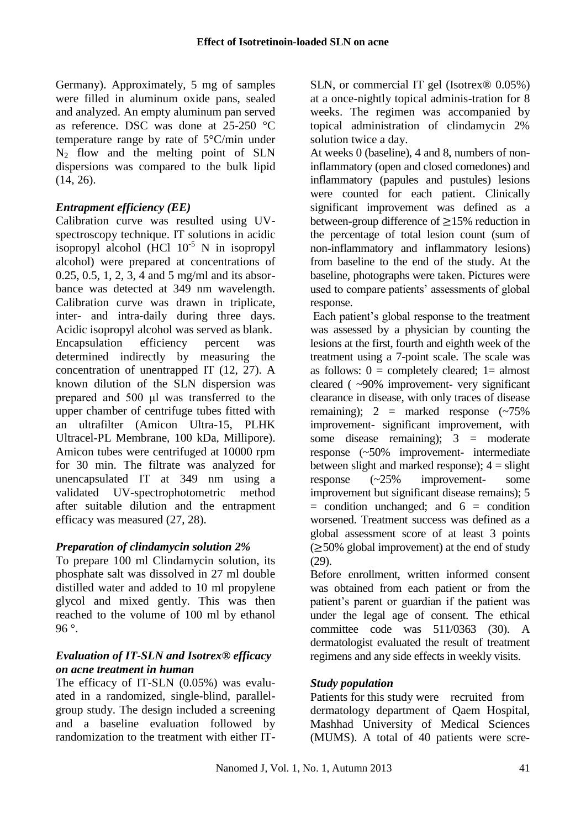Germany). Approximately, 5 mg of samples were filled in aluminum oxide pans, sealed and analyzed. An empty aluminum pan served as reference. DSC was done at 25-250 °C temperature range by rate of 5°C/min under  $N_2$  flow and the melting point of SLN dispersions was compared to the bulk lipid (14, 26).

# *Entrapment efficiency (EE)*

Calibration curve was resulted using UVspectroscopy technique. IT solutions in acidic isopropyl alcohol (HCl  $10^{-5}$  N in isopropyl alcohol) were prepared at concentrations of 0.25, 0.5, 1, 2, 3, 4 and 5 mg/ml and its absorbance was detected at 349 nm wavelength. Calibration curve was drawn in triplicate, inter- and intra-daily during three days. Acidic isopropyl alcohol was served as blank. Encapsulation efficiency percent was determined indirectly by measuring the concentration of unentrapped IT (12, 27). A known dilution of the SLN dispersion was prepared and 500 μl was transferred to the upper chamber of centrifuge tubes fitted with an ultrafilter (Amicon Ultra-15, PLHK Ultracel-PL Membrane, 100 kDa, Millipore). Amicon tubes were centrifuged at 10000 rpm for 30 min. The filtrate was analyzed for unencapsulated IT at 349 nm using a validated UV-spectrophotometric method after suitable dilution and the entrapment efficacy was measured (27, 28).

# *Preparation of clindamycin solution 2%*

To prepare 100 ml Clindamycin solution, its phosphate salt was dissolved in 27 ml double distilled water and added to 10 ml propylene glycol and mixed gently. This was then reached to the volume of 100 ml by ethanol 96 $^{\circ}$ .

#### *Evaluation of IT-SLN and Isotrex® efficacy on acne treatment in human*

The efficacy of IT-SLN (0.05%) was evaluated in a randomized, single-blind, parallelgroup study. The design included a screening and a baseline evaluation followed by randomization to the treatment with either IT-

SLN, or commercial IT gel (Isotrex® 0.05%) at a once-nightly topical adminis-tration for 8 weeks. The regimen was accompanied by topical administration of clindamycin 2% solution twice a day.

At weeks 0 (baseline), 4 and 8, numbers of noninflammatory (open and closed comedones) and inflammatory (papules and pustules) lesions were counted for each patient. Clinically significant improvement was defined as a between-group difference of  $\geq$ 15% reduction in the percentage of total lesion count (sum of non-inflammatory and inflammatory lesions) from baseline to the end of the study. At the baseline, photographs were taken. Pictures were used to compare patients' assessments of global response.

Each patient's global response to the treatment was assessed by a physician by counting the lesions at the first, fourth and eighth week of the treatment using a 7-point scale. The scale was as follows:  $0 =$  completely cleared;  $1 =$  almost cleared ( ~90% improvement- very significant clearance in disease, with only traces of disease remaining);  $2 =$  marked response  $(\sim 75\%)$ improvement- significant improvement, with some disease remaining);  $3 =$  moderate response (~50% improvement- intermediate between slight and marked response);  $4 =$  slight response (~25% improvement- some improvement but significant disease remains); 5  $=$  condition unchanged; and  $6 =$  condition worsened. Treatment success was defined as a global assessment score of at least 3 points  $(\geq 50\%$  global improvement) at the end of study (29).

Before enrollment, written informed consent was obtained from each patient or from the patient's parent or guardian if the patient was under the legal age of consent. The ethical committee code was 511/0363 (30). A dermatologist evaluated the result of treatment regimens and any side effects in weekly visits.

# *Study population*

Patients for this study were recruited from dermatology department of Qaem Hospital, Mashhad University of Medical Sciences (MUMS). A total of 40 patients were scre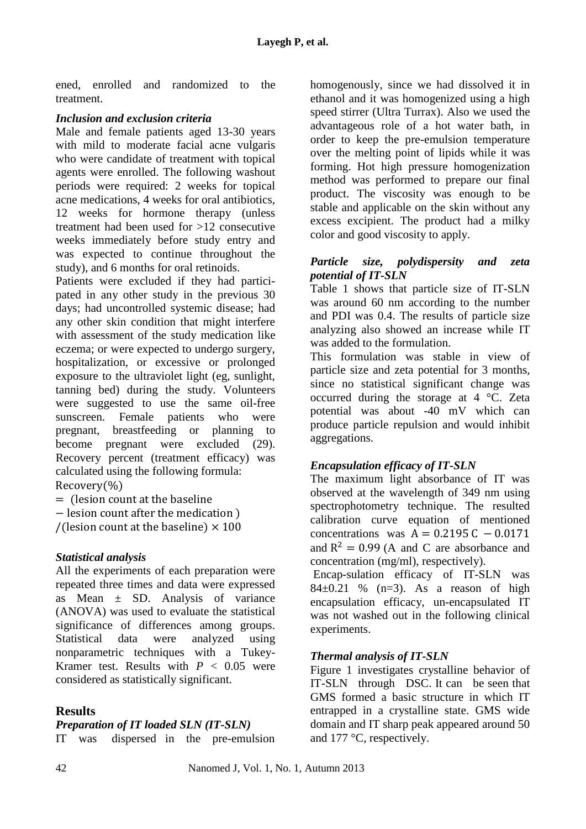ened, enrolled and randomized to the treatment.

#### *Inclusion and exclusion criteria*

Male and female patients aged 13-30 years with mild to moderate facial acne vulgaris who were candidate of treatment with topical agents were enrolled. The following washout periods were required: 2 weeks for topical acne medications, 4 weeks for oral antibiotics, 12 weeks for hormone therapy (unless treatment had been used for >12 consecutive weeks immediately before study entry and was expected to continue throughout the study), and 6 months for oral retinoids.

Patients were excluded if they had participated in any other study in the previous 30 days; had uncontrolled systemic disease; had any other skin condition that might interfere with assessment of the study medication like eczema; or were expected to undergo surgery, hospitalization, or excessive or prolonged exposure to the ultraviolet light (eg, sunlight, tanning bed) during the study. Volunteers were suggested to use the same oil-free sunscreen. Female patients who were pregnant, breastfeeding or planning to become pregnant were excluded (29). Recovery percent (treatment efficacy) was calculated using the following formula:  $Recovery(\% )$ 

 $=$  (lesion count at the baseline

 $-$  lesion count after the medication  $\lambda$ 

/(lesion count at the baseline)  $\times$  100

# *Statistical analysis*

All the experiments of each preparation were repeated three times and data were expressed as Mean  $\pm$  SD. Analysis of variance (ANOVA) was used to evaluate the statistical significance of differences among groups. Statistical data were analyzed using nonparametric techniques with a Tukey-Kramer test. Results with  $P < 0.05$  were considered as statistically significant.

# **Results**

#### *Preparation of IT loaded SLN (IT-SLN)*

IT was dispersed in the pre-emulsion

homogenously, since we had dissolved it in ethanol and it was homogenized using a high speed stirrer (Ultra Turrax). Also we used the advantageous role of a hot water bath, in order to keep the pre-emulsion temperature over the melting point of lipids while it was forming. Hot high pressure homogenization method was performed to prepare our final product. The viscosity was enough to be stable and applicable on the skin without any excess excipient. The product had a milky color and good viscosity to apply.

#### *Particle size, polydispersity and zeta potential of IT-SLN*

Table 1 shows that particle size of IT-SLN was around 60 nm according to the number and PDI was 0.4. The results of particle size analyzing also showed an increase while IT was added to the formulation.

This formulation was stable in view of particle size and zeta potential for 3 months, since no statistical significant change was occurred during the storage at 4 °C. Zeta potential was about -40 mV which can produce particle repulsion and would inhibit aggregations.

# *Encapsulation efficacy of IT-SLN*

The maximum light absorbance of IT was observed at the wavelength of 349 nm using spectrophotometry technique. The resulted calibration curve equation of mentioned concentrations was  $A = 0.2195 C - 0.0171$ and  $R^2 = 0.99$  (A and C are absorbance and concentration (mg/ml), respectively).

Encap-sulation efficacy of IT-SLN was  $84\pm0.21$  % (n=3). As a reason of high encapsulation efficacy, un-encapsulated IT was not washed out in the following clinical experiments.

# *Thermal analysis of IT-SLN*

Figure 1 investigates crystalline behavior of IT-SLN through DSC. It can be seen that GMS formed a basic structure in which IT entrapped in a crystalline state. GMS wide domain and IT sharp peak appeared around 50 and 177 °C, respectively.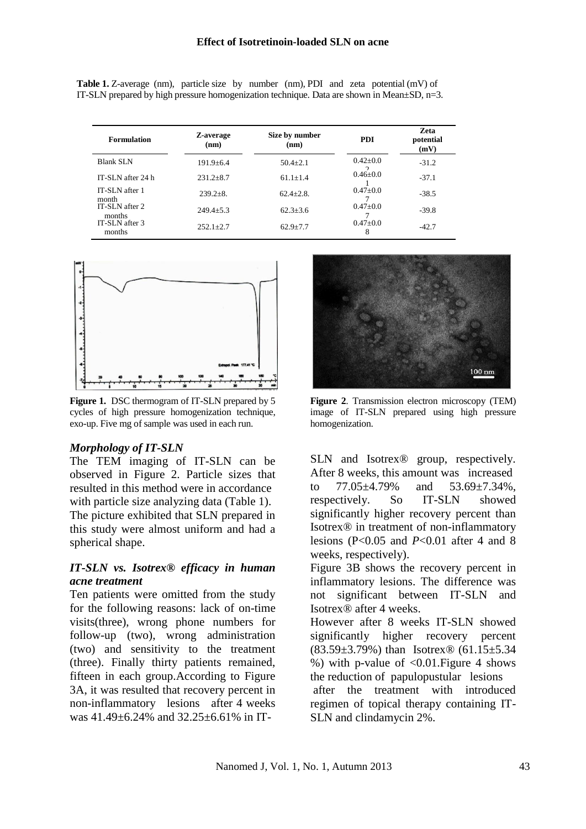| <b>Formulation</b>       | Z-average<br>(nm) | Size by number<br>(nm) | <b>PDI</b>      | <b>Zeta</b><br>potential<br>(mV) |
|--------------------------|-------------------|------------------------|-----------------|----------------------------------|
| <b>Blank SLN</b>         | $191.9 \pm 6.4$   | $50.4 + 2.1$           | $0.42+0.0$<br>◠ | $-31.2$                          |
| IT-SLN after 24 h        | $231.2 \pm 8.7$   | $61.1 + 1.4$           | $0.46 + 0.0$    | $-37.1$                          |
| IT-SLN after 1<br>month  | $239.2 \pm 8.$    | $62.4 \pm 2.8$ .       | $0.47+0.0$      | $-38.5$                          |
| IT-SLN after 2<br>months | $249.4+5.3$       | $62.3 + 3.6$           | $0.47 \pm 0.0$  | $-39.8$                          |
| IT-SLN after 3<br>months | $252.1 \pm 2.7$   | $62.9 \pm 7.7$         | $0.47+0.0$<br>8 | $-42.7$                          |

Table 1. Z-average (nm), particle size by number (nm), PDI and zeta potential (mV) of IT-SLN prepared by high pressure homogenization technique. Data are shown in Mean±SD, n=3.



Figure 1. DSC thermogram of IT-SLN prepared by 5 cycles of high pressure homogenization technique, exo-up. Five mg of sample was used in each run.

#### *Morphology of IT-SLN*

The TEM imaging of IT-SLN can be observed in Figure 2. Particle sizes that resulted in this method were in accordance with particle size analyzing data (Table 1). The picture exhibited that SLN prepared in this study were almost uniform and had a spherical shape.

#### *IT-SLN vs. Isotrex® efficacy in human acne treatment*

Ten patients were omitted from the study for the following reasons: lack of on-time visits(three), wrong phone numbers for follow-up (two), wrong administration (two) and sensitivity to the treatment (three). Finally thirty patients remained, fifteen in each group.According to Figure 3A, it was resulted that recovery percent in non-inflammatory lesions after 4 weeks was 41.49±6.24% and 32.25±6.61% in IT-



**Figure 2**. Transmission electron microscopy (TEM) image of IT-SLN prepared using high pressure homogenization.

SLN and Isotrex<sup>®</sup> group, respectively. After 8 weeks, this amount was increased to 77.05±4.79% and 53.69±7.34%, respectively. So IT-SLN showed significantly higher recovery percent than Isotrex® in treatment of non-inflammatory lesions (P<0.05 and *P*<0.01 after 4 and 8 weeks, respectively).

Figure 3B shows the recovery percent in inflammatory lesions. The difference was not significant between IT-SLN and Isotrex® after 4 weeks.

However after 8 weeks IT-SLN showed significantly higher recovery percent (83.59±3.79%) than Isotrex® (61.15±5.34 %) with p-value of  $< 0.01$ . Figure 4 shows the reduction of papulopustular lesions after the treatment with introduced

regimen of topical therapy containing IT-SLN and clindamycin 2%.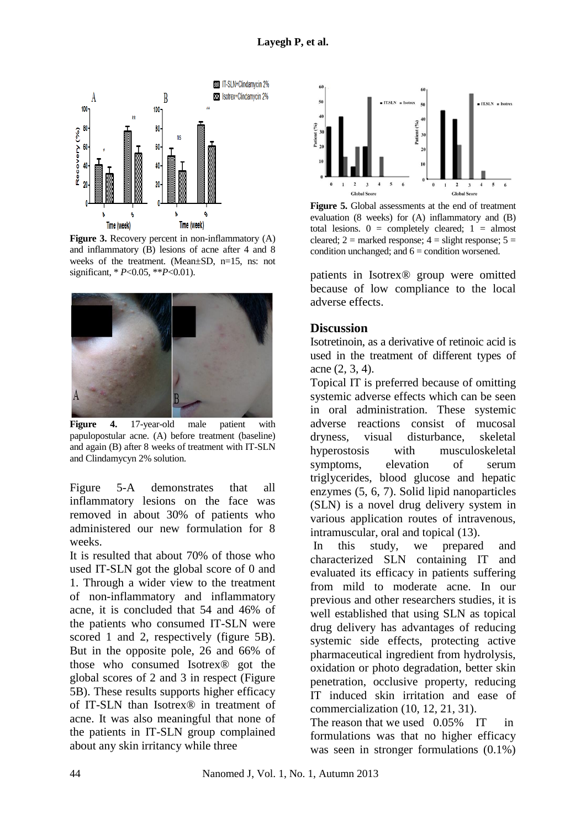

Figure 3. Recovery percent in non-inflammatory (A) and inflammatory (B) lesions of acne after 4 and 8 weeks of the treatment. (Mean±SD, n=15, ns: not significant, \* *P*<0.05, \*\**P*<0.01).



**Figure 4.** 17-year-old male patient with papulopostular acne. (A) before treatment (baseline) and again (B) after 8 weeks of treatment with IT-SLN and Clindamycyn 2% solution.

Figure 5-A demonstrates that all inflammatory lesions on the face was removed in about 30% of patients who administered our new formulation for 8 weeks.

It is resulted that about 70% of those who used IT-SLN got the global score of 0 and 1. Through a wider view to the treatment of non-inflammatory and inflammatory acne, it is concluded that 54 and 46% of the patients who consumed IT-SLN were scored 1 and 2, respectively (figure 5B). But in the opposite pole, 26 and 66% of those who consumed Isotrex® got the global scores of 2 and 3 in respect (Figure 5B). These results supports higher efficacy of IT-SLN than Isotrex® in treatment of acne. It was also meaningful that none of the patients in IT-SLN group complained about any skin irritancy while three



**Figure 5.** Global assessments at the end of treatment evaluation (8 weeks) for (A) inflammatory and (B) total lesions.  $0 =$  completely cleared;  $1 =$  almost cleared;  $2 =$  marked response;  $4 =$  slight response;  $5 =$ condition unchanged; and  $6 =$  condition worsened.

patients in Isotrex® group were omitted because of low compliance to the local adverse effects.

#### **Discussion**

Isotretinoin, as a derivative of retinoic acid is used in the treatment of different types of acne (2, 3, 4).

Topical IT is preferred because of omitting systemic adverse effects which can be seen in oral administration. These systemic adverse reactions consist of mucosal dryness, visual disturbance, skeletal hyperostosis with musculoskeletal symptoms, elevation of serum triglycerides, blood glucose and hepatic enzymes (5, 6, 7). Solid lipid nanoparticles (SLN) is a novel drug delivery system in various application routes of intravenous, intramuscular, oral and topical (13).

In this study, we prepared and characterized SLN containing IT and evaluated its efficacy in patients suffering from mild to moderate acne. In our previous and other researchers studies, it is well established that using SLN as topical drug delivery has advantages of reducing systemic side effects, protecting active pharmaceutical ingredient from hydrolysis, oxidation or photo degradation, better skin penetration, occlusive property, reducing IT induced skin irritation and ease of commercialization (10, 12, 21, 31).

The reason that we used 0.05% IT in formulations was that no higher efficacy was seen in stronger formulations (0.1%)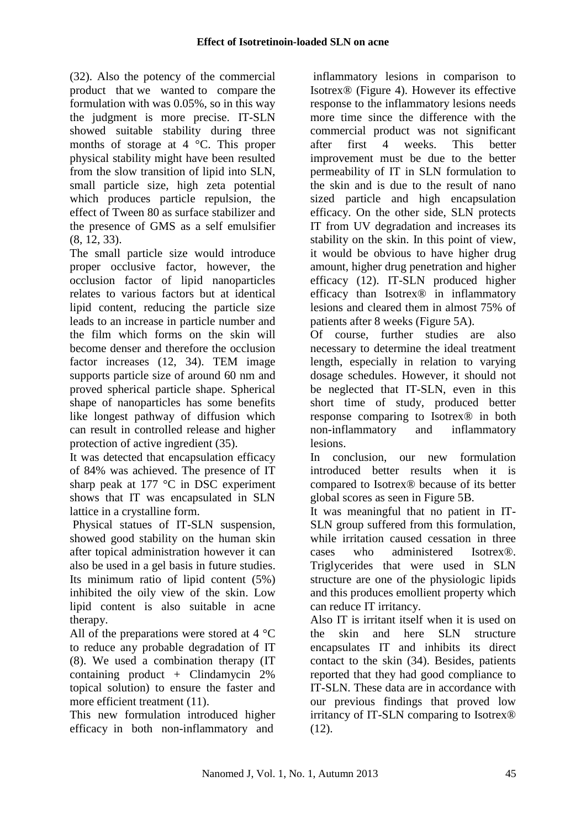(32). Also the potency of the commercial product that we wanted to compare the formulation with was 0.05%, so in this way the judgment is more precise. IT-SLN showed suitable stability during three months of storage at 4 °C. This proper physical stability might have been resulted from the slow transition of lipid into SLN, small particle size, high zeta potential which produces particle repulsion, the effect of Tween 80 as surface stabilizer and the presence of GMS as a self emulsifier (8, 12, 33).

The small particle size would introduce proper occlusive factor, however, the occlusion factor of lipid nanoparticles relates to various factors but at identical lipid content, reducing the particle size leads to an increase in particle number and the film which forms on the skin will become denser and therefore the occlusion factor increases (12, 34). TEM image supports particle size of around 60 nm and proved spherical particle shape. Spherical shape of nanoparticles has some benefits like longest pathway of diffusion which can result in controlled release and higher protection of active ingredient (35).

It was detected that encapsulation efficacy of 84% was achieved. The presence of IT sharp peak at 177 °C in DSC experiment shows that IT was encapsulated in SLN lattice in a crystalline form.

Physical statues of IT-SLN suspension, showed good stability on the human skin after topical administration however it can also be used in a gel basis in future studies. Its minimum ratio of lipid content (5%) inhibited the oily view of the skin. Low lipid content is also suitable in acne therapy.

All of the preparations were stored at 4 °C to reduce any probable degradation of IT (8). We used a combination therapy (IT containing product + Clindamycin 2% topical solution) to ensure the faster and more efficient treatment (11).

This new formulation introduced higher efficacy in both non-inflammatory and

inflammatory lesions in comparison to Isotrex® (Figure 4). However its effective response to the inflammatory lesions needs more time since the difference with the commercial product was not significant after first 4 weeks. This better improvement must be due to the better permeability of IT in SLN formulation to the skin and is due to the result of nano sized particle and high encapsulation efficacy. On the other side, SLN protects IT from UV degradation and increases its stability on the skin. In this point of view, it would be obvious to have higher drug amount, higher drug penetration and higher efficacy (12). IT-SLN produced higher efficacy than Isotrex® in inflammatory lesions and cleared them in almost 75% of patients after 8 weeks (Figure 5A).

Of course, further studies are also necessary to determine the ideal treatment length, especially in relation to varying dosage schedules. However, it should not be neglected that IT-SLN, even in this short time of study, produced better response comparing to Isotrex® in both non-inflammatory and inflammatory lesions.

In conclusion, our new formulation introduced better results when it is compared to Isotrex® because of its better global scores as seen in Figure 5B.

It was meaningful that no patient in IT-SLN group suffered from this formulation, while irritation caused cessation in three cases who administered Isotrex®. Triglycerides that were used in SLN structure are one of the physiologic lipids and this produces emollient property which can reduce IT irritancy.

Also IT is irritant itself when it is used on the skin and here SLN structure encapsulates IT and inhibits its direct contact to the skin (34). Besides, patients reported that they had good compliance to IT-SLN. These data are in accordance with our previous findings that proved low irritancy of IT-SLN comparing to Isotrex®  $(12)$ .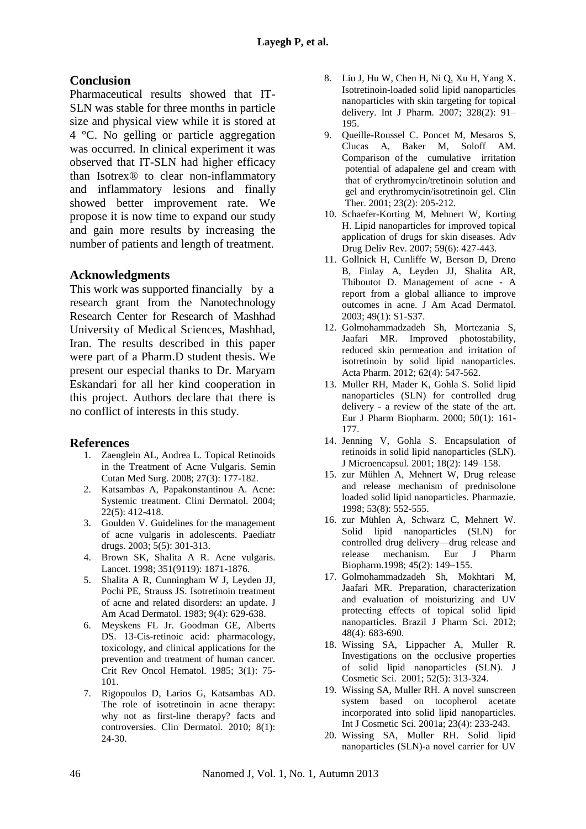#### **Conclusion**

Pharmaceutical results showed that IT-SLN was stable for three months in particle size and physical view while it is stored at 4 °C. No gelling or particle aggregation was occurred. In clinical experiment it was observed that IT-SLN had higher efficacy than Isotrex® to clear non-inflammatory and inflammatory lesions and finally showed better improvement rate. We propose it is now time to expand our study and gain more results by increasing the number of patients and length of treatment.

#### **Acknowledgments**

This work was supported financially by a research grant from the Nanotechnology Research Center for Research of Mashhad University of Medical Sciences, Mashhad, Iran. The results described in this paper were part of a Pharm.D student thesis. We present our especial thanks to Dr. Maryam Eskandari for all her kind cooperation in this project. Authors declare that there is no conflict of interests in this study.

#### **References**

- 1. Zaenglein AL, Andrea L. Topical Retinoids in the Treatment of Acne Vulgaris. Semin Cutan Med Surg. 2008; 27(3): 177-182.
- 2. Katsambas A, Papakonstantinou A. Acne: Systemic treatment. Clini Dermatol. 2004; 22(5): 412-418.
- 3. Goulden V. Guidelines for the management of acne vulgaris in adolescents. Paediatr drugs. 2003; 5(5): 301-313.
- 4. Brown SK, Shalita A R. Acne vulgaris. Lancet. 1998; 351(9119): 1871-1876.
- 5. [Shalita A R,](http://apps.webofknowledge.com/OneClickSearch.do?product=MEDLINE&search_mode=OneClickSearch&colName=MEDLINE&SID=N2OeF5HdpleheOc8JmP&field=AU&value=Shalita%2C+A+R) [Cunningham W J,](http://apps.webofknowledge.com/OneClickSearch.do?product=MEDLINE&search_mode=OneClickSearch&colName=MEDLINE&SID=N2OeF5HdpleheOc8JmP&field=AU&value=Cunningham%2C+W+J) [Leyden JJ,](http://apps.webofknowledge.com/OneClickSearch.do?product=MEDLINE&search_mode=OneClickSearch&colName=MEDLINE&SID=N2OeF5HdpleheOc8JmP&field=AU&value=Leyden%2C+J+J) [Pochi PE,](http://apps.webofknowledge.com/OneClickSearch.do?product=MEDLINE&search_mode=OneClickSearch&colName=MEDLINE&SID=N2OeF5HdpleheOc8JmP&field=AU&value=Pochi%2C+P+E) [Strauss JS.](http://apps.webofknowledge.com/OneClickSearch.do?product=MEDLINE&search_mode=OneClickSearch&colName=MEDLINE&SID=N2OeF5HdpleheOc8JmP&field=AU&value=Strauss%2C+J+S&cacheurlFromRightClick=no) Isotretinoin treatment of acne and related disorders: an update. J Am Acad Dermatol. 1983; 9(4): 629-638.
- 6. Meyskens FL Jr. Goodman GE, Alberts DS. 13-Cis-retinoic acid: pharmacology, toxicology, and clinical applications for the prevention and treatment of human cancer. Crit Rev Oncol Hematol. 1985; 3(1): 75- 101.
- 7. [Rigopoulos D,](http://www.ncbi.nlm.nih.gov/pubmed?term=Rigopoulos%20D%5BAuthor%5D&cauthor=true&cauthor_uid=20082946) [Larios G,](http://www.ncbi.nlm.nih.gov/pubmed?term=Larios%20G%5BAuthor%5D&cauthor=true&cauthor_uid=20082946) [Katsambas AD.](http://www.ncbi.nlm.nih.gov/pubmed?term=Katsambas%20AD%5BAuthor%5D&cauthor=true&cauthor_uid=20082946) The role of isotretinoin in acne therapy: why not as first-line therapy? facts and controversies. Clin Dermatol. 2010; 8(1): 24-30.
- 8. Liu J, Hu W, Chen H, Ni Q, Xu H, Yang X. Isotretinoin-loaded solid lipid nanoparticles nanoparticles with skin targeting for topical delivery. Int J Pharm. 2007; 328(2): 91– 195.
- 9. Queille-Roussel C. Poncet M, Mesaros S, Clucas A, Baker M, Soloff AM. Comparison of the cumulative irritation potential of adapalene gel and cream with that of erythromycin/tretinoin solution and gel and erythromycin/isotretinoin gel. Clin Ther. 2001; 23(2): 205-212.
- 10. Schaefer-Korting M, Mehnert W, Korting H. Lipid nanoparticles for improved topical application of drugs for skin diseases. Adv Drug Deliv Rev. 2007; 59(6): 427-443.
- 11. Gollnick H, Cunliffe W, Berson D, Dreno B, Finlay A, Leyden JJ, Shalita AR, Thiboutot D. Management of acne - A report from a global alliance to improve outcomes in acne. J Am Acad Dermatol. 2003; 49(1): S1-S37.
- 12. Golmohammadzadeh Sh, Mortezania S, Jaafari MR. Improved photostability, reduced skin permeation and irritation of isotretinoin by solid lipid nanoparticles. Acta Pharm. 2012; 62(4): 547-562.
- 13. Muller RH, Mader K, Gohla S. Solid lipid nanoparticles (SLN) for controlled drug delivery - a review of the state of the art. Eur J Pharm Biopharm. 2000; 50(1): 161- 177.
- 14. Jenning V, Gohla S. Encapsulation of retinoids in solid lipid nanoparticles (SLN). J Microencapsul. 2001; 18(2): 149–158.
- 15. zur Mühlen A, Mehnert W, Drug release and release mechanism of prednisolone loaded solid lipid nanoparticles. Pharmazie. 1998; 53(8): 552-555.
- 16. zur Mühlen A, Schwarz C, Mehnert W. Solid lipid nanoparticles (SLN) for controlled drug delivery—drug release and release mechanism. Eur J Pharm Biopharm.1998; 45(2): 149–155.
- 17. Golmohammadzadeh Sh, Mokhtari M, Jaafari MR. Preparation, characterization and evaluation of moisturizing and UV protecting effects of topical solid lipid nanoparticles. Brazil J Pharm Sci. 2012; 48(4): 683-690.
- 18. Wissing SA, Lippacher A, Muller R. Investigations on the occlusive properties of solid lipid nanoparticles (SLN). J Cosmetic Sci. 2001; 52(5): 313-324.
- 19. Wissing SA, Muller RH. A novel sunscreen system based on tocopherol acetate incorporated into solid lipid nanoparticles. Int J Cosmetic Sci. 2001a; 23(4): 233-243.
- 20. Wissing SA, Muller RH. Solid lipid nanoparticles (SLN)-a novel carrier for UV